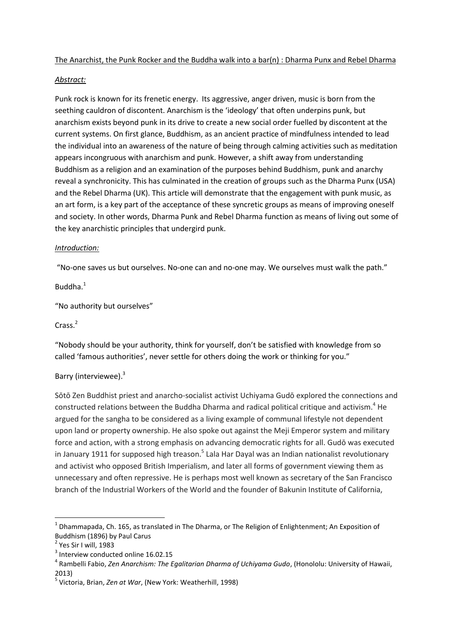#### The Anarchist, the Punk Rocker and the Buddha walk into a bar(n) : Dharma Punx and Rebel Dharma

### *Abstract:*

Punk rock is known for its frenetic energy. Its aggressive, anger driven, music is born from the seething cauldron of discontent. Anarchism is the 'ideology' that often underpins punk, but anarchism exists beyond punk in its drive to create a new social order fuelled by discontent at the current systems. On first glance, Buddhism, as an ancient practice of mindfulness intended to lead the individual into an awareness of the nature of being through calming activities such as meditation appears incongruous with anarchism and punk. However, a shift away from understanding Buddhism as a religion and an examination of the purposes behind Buddhism, punk and anarchy reveal a synchronicity. This has culminated in the creation of groups such as the Dharma Punx (USA) and the Rebel Dharma (UK). This article will demonstrate that the engagement with punk music, as an art form, is a key part of the acceptance of these syncretic groups as means of improving oneself and society. In other words, Dharma Punk and Rebel Dharma function as means of living out some of the key anarchistic principles that undergird punk.

#### *Introduction:*

"No-one saves us but ourselves. No-one can and no-one may. We ourselves must walk the path."

Buddha. 1

"No authority but ourselves"

Crass. 2

"Nobody should be your authority, think for yourself, don't be satisfied with knowledge from so called 'famous authorities', never settle for others doing the work or thinking for you."

## Barry (interviewee). 3

Sōtō Zen Buddhist priest and anarcho-socialist activist Uchiyama Gudō explored the connections and constructed relations between the Buddha Dharma and radical political critique and activism.<sup>4</sup> He argued for the sangha to be considered as a living example of communal lifestyle not dependent upon land or property ownership. He also spoke out against the Meji Emperor system and military force and action, with a strong emphasis on advancing democratic rights for all. Gudō was executed in January 1911 for supposed high treason.<sup>5</sup> Lala Har Dayal was an Indian nationalist revolutionary and activist who opposed British Imperialism, and later all forms of government viewing them as unnecessary and often repressive. He is perhaps most well known as secretary of the San Francisco branch of the Industrial Workers of the World and the founder of Bakunin Institute of California,

 $\overline{a}$ 

 $^{1}$  Dhammapada, Ch. 165, as translated in The Dharma, or The Religion of Enlightenment; An Exposition of Buddhism (1896) by Paul Carus

<sup>&</sup>lt;sup>2</sup> Yes Sir I will, 1983

<sup>&</sup>lt;sup>3</sup> Interview conducted online 16.02.15

<sup>4</sup> Rambelli Fabio, *Zen Anarchism: The Egalitarian Dharma of Uchiyama Gudo*, (Honololu: University of Hawaii, 2013)

<sup>5</sup> Victoria, Brian, *Zen at War*, (New York: Weatherhill, 1998)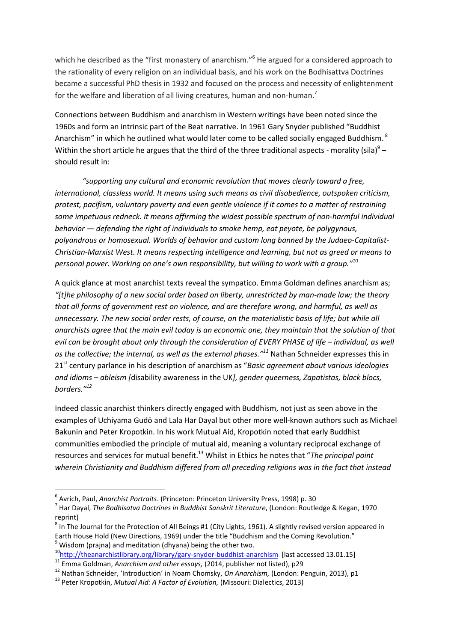which he described as the "first monastery of anarchism."<sup>6</sup> He argued for a considered approach to the rationality of every religion on an individual basis, and his work on the Bodhisattva Doctrines became a successful PhD thesis in 1932 and focused on the process and necessity of enlightenment for the welfare and liberation of all living creatures, human and non-human.<sup>7</sup>

Connections between Buddhism and anarchism in Western writings have been noted since the 1960s and form an intrinsic part of the Beat narrative. In 1961 Gary Snyder published "Buddhist Anarchism" in which he outlined what would later come to be called socially engaged Buddhism.  $^{8}$ Within the short article he argues that the third of the three traditional aspects - morality (sila)<sup>9</sup> – should result in:

*"supporting any cultural and economic revolution that moves clearly toward a free, international, classless world. It means using such means as civil disobedience, outspoken criticism, protest, pacifism, voluntary poverty and even gentle violence if it comes to a matter of restraining some impetuous redneck. It means affirming the widest possible spectrum of non-harmful individual behavior — defending the right of individuals to smoke hemp, eat peyote, be polygynous, polyandrous or homosexual. Worlds of behavior and custom long banned by the Judaeo-Capitalist-Christian-Marxist West. It means respecting intelligence and learning, but not as greed or means to personal power. Working on one's own responsibility, but willing to work with a group." 10*

A quick glance at most anarchist texts reveal the sympatico. Emma Goldman defines anarchism as; *"[t]he philosophy of a new social order based on liberty, unrestricted by man-made law; the theory that all forms of government rest on violence, and are therefore wrong, and harmful, as well as unnecessary. The new social order rests, of course, on the materialistic basis of life; but while all anarchists agree that the main evil today is an economic one, they maintain that the solution of that evil can be brought about only through the consideration of EVERY PHASE of life – <i>individual, as well as the collective; the internal, as well as the external phases."<sup>11</sup>* Nathan Schneider expresses this in 21st century parlance in his description of anarchism as "*Basic agreement about various ideologies and idioms – ableism [*disability awareness in the UK*], gender queerness, Zapatistas, black blocs, borders."<sup>12</sup>*

Indeed classic anarchist thinkers directly engaged with Buddhism, not just as seen above in the examples of Uchiyama Gudō and Lala Har Dayal but other more well-known authors such as Michael Bakunin and Peter Kropotkin. In his work Mutual Aid, Kropotkin noted that early Buddhist communities embodied the principle of mutual aid, meaning a voluntary reciprocal exchange of resources and services for mutual benefit. <sup>13</sup> Whilst in Ethics he notes that "*The principal point wherein Christianity and Buddhism differed from all preceding religions was in the fact that instead* 

 6 Avrich, Paul, *Anarchist Portraits*. (Princeton: Princeton University Press, 1998) p. 30

<sup>7</sup> Har Dayal, *The Bodhisatva Doctrines in Buddhist Sanskrit Literature*, (London: Routledge & Kegan, 1970 reprint)

 $^8$  In The Journal for the Protection of All Beings #1 (City Lights, 1961). A slightly revised version appeared in Earth House Hold (New Directions, 1969) under the title "Buddhism and the Coming Revolution."  $9$  Wisdom (praina) and meditation (dhyana) being the other two.

<sup>&</sup>lt;sup>10</sup>http://theanarchistlibrary.org/library/gary-snyder-buddhist-anarchism</u> [last accessed 13.01.15]

<sup>11</sup> Emma Goldman, *Anarchism and other essays,* (2014, publisher not listed), p29

<sup>12</sup> Nathan Schneider, 'Introduction' in Noam Chomsky, *On Anarchism,* (London: Penguin, 2013), p1

<sup>13</sup> Peter Kropotkin, *Mutual Aid: A Factor of Evolution,* (Missouri: Dialectics, 2013)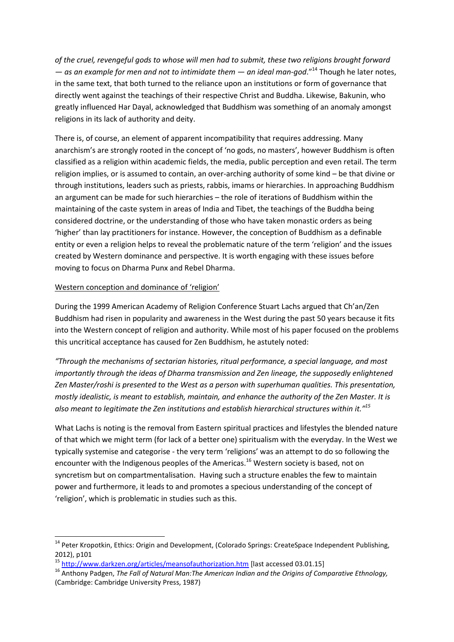*of the cruel, revengeful gods to whose will men had to submit, these two religions brought forward — as an example for men and not to intimidate them — an ideal man-god*."<sup>14</sup> Though he later notes, in the same text, that both turned to the reliance upon an institutions or form of governance that directly went against the teachings of their respective Christ and Buddha. Likewise, Bakunin, who greatly influenced Har Dayal, acknowledged that Buddhism was something of an anomaly amongst religions in its lack of authority and deity.

There is, of course, an element of apparent incompatibility that requires addressing. Many anarchism's are strongly rooted in the concept of 'no gods, no masters', however Buddhism is often classified as a religion within academic fields, the media, public perception and even retail. The term religion implies, or is assumed to contain, an over-arching authority of some kind – be that divine or through institutions, leaders such as priests, rabbis, imams or hierarchies. In approaching Buddhism an argument can be made for such hierarchies – the role of iterations of Buddhism within the maintaining of the caste system in areas of India and Tibet, the teachings of the Buddha being considered doctrine, or the understanding of those who have taken monastic orders as being 'higher' than lay practitioners for instance. However, the conception of Buddhism as a definable entity or even a religion helps to reveal the problematic nature of the term 'religion' and the issues created by Western dominance and perspective. It is worth engaging with these issues before moving to focus on Dharma Punx and Rebel Dharma.

#### Western conception and dominance of 'religion'

 $\overline{a}$ 

During the 1999 American Academy of Religion Conference Stuart Lachs argued that Ch'an/Zen Buddhism had risen in popularity and awareness in the West during the past 50 years because it fits into the Western concept of religion and authority. While most of his paper focused on the problems this uncritical acceptance has caused for Zen Buddhism, he astutely noted:

*"Through the mechanisms of sectarian histories, ritual performance, a special language, and most importantly through the ideas of Dharma transmission and Zen lineage, the supposedly enlightened Zen Master/roshi is presented to the West as a person with superhuman qualities. This presentation, mostly idealistic, is meant to establish, maintain, and enhance the authority of the Zen Master. It is also meant to legitimate the Zen institutions and establish hierarchical structures within it." 15*

What Lachs is noting is the removal from Eastern spiritual practices and lifestyles the blended nature of that which we might term (for lack of a better one) spiritualism with the everyday. In the West we typically systemise and categorise - the very term 'religions' was an attempt to do so following the encounter with the Indigenous peoples of the Americas.<sup>16</sup> Western society is based, not on syncretism but on compartmentalisation. Having such a structure enables the few to maintain power and furthermore, it leads to and promotes a specious understanding of the concept of 'religion', which is problematic in studies such as this.

<sup>&</sup>lt;sup>14</sup> Peter Kropotkin, Ethics: Origin and Development, (Colorado Springs: CreateSpace Independent Publishing, 2012), p101

<sup>&</sup>lt;sup>15</sup> <http://www.darkzen.org/articles/meansofauthorization.htm> [last accessed 03.01.15]

<sup>16</sup> Anthony Padgen, *The Fall of Natural Man:The American Indian and the Origins of Comparative Ethnology,*  (Cambridge: Cambridge University Press, 1987)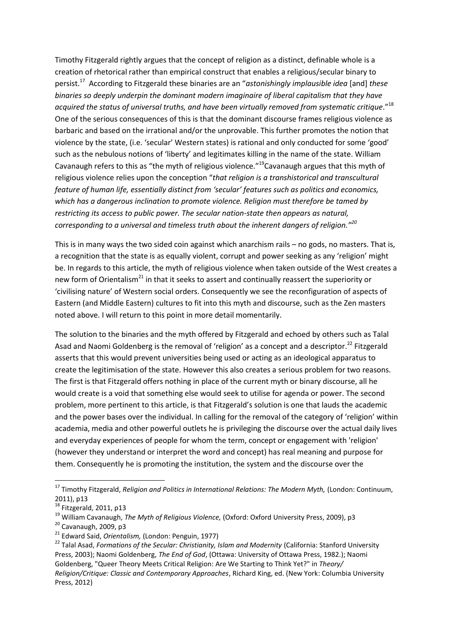Timothy Fitzgerald rightly argues that the concept of religion as a distinct, definable whole is a creation of rhetorical rather than empirical construct that enables a religious/secular binary to persist.<sup>17</sup> According to Fitzgerald these binaries are an "*astonishingly implausible idea* [and] *these binaries so deeply underpin the dominant modern imaginaire of liberal capitalism that they have acquired the status of universal truths, and have been virtually removed from systematic critique*."<sup>18</sup> One of the serious consequences of this is that the dominant discourse frames religious violence as barbaric and based on the irrational and/or the unprovable. This further promotes the notion that violence by the state, (i.e. 'secular' Western states) is rational and only conducted for some 'good' such as the nebulous notions of 'liberty' and legitimates killing in the name of the state. William Cavanaugh refers to this as "the myth of religious violence."<sup>19</sup>Cavanaugh argues that this myth of religious violence relies upon the conception "*that religion is a transhistorical and transcultural feature of human life, essentially distinct from 'secular' features such as politics and economics, which has a dangerous inclination to promote violence. Religion must therefore be tamed by restricting its access to public power. The secular nation-state then appears as natural, corresponding to a universal and timeless truth about the inherent dangers of religion."<sup>20</sup>*

This is in many ways the two sided coin against which anarchism rails – no gods, no masters. That is, a recognition that the state is as equally violent, corrupt and power seeking as any 'religion' might be. In regards to this article, the myth of religious violence when taken outside of the West creates a new form of Orientalism<sup>21</sup> in that it seeks to assert and continually reassert the superiority or 'civilising nature' of Western social orders. Consequently we see the reconfiguration of aspects of Eastern (and Middle Eastern) cultures to fit into this myth and discourse, such as the Zen masters noted above. I will return to this point in more detail momentarily.

The solution to the binaries and the myth offered by Fitzgerald and echoed by others such as Talal Asad and Naomi Goldenberg is the removal of 'religion' as a concept and a descriptor.<sup>22</sup> Fitzgerald asserts that this would prevent universities being used or acting as an ideological apparatus to create the legitimisation of the state. However this also creates a serious problem for two reasons. The first is that Fitzgerald offers nothing in place of the current myth or binary discourse, all he would create is a void that something else would seek to utilise for agenda or power. The second problem, more pertinent to this article, is that Fitzgerald's solution is one that lauds the academic and the power bases over the individual. In calling for the removal of the category of 'religion' within academia, media and other powerful outlets he is privileging the discourse over the actual daily lives and everyday experiences of people for whom the term, concept or engagement with 'religion' (however they understand or interpret the word and concept) has real meaning and purpose for them. Consequently he is promoting the institution, the system and the discourse over the

<sup>17</sup> Timothy Fitzgerald, *Religion and Politics in International Relations: The Modern Myth,* (London: Continuum, 2011), p13

 $18$  Fitzgerald, 2011, p13

<sup>19</sup> William Cavanaugh, *The Myth of Religious Violence,* (Oxford: Oxford University Press, 2009), p3

 $20$  Cavanaugh, 2009, p3

<sup>21</sup> Edward Said, *Orientalism,* (London: Penguin, 1977)

<sup>&</sup>lt;sup>22</sup> Talal Asad, *Formations of the Secular: Christianity, Islam and Modernity (California: Stanford University* Press, 2003); Naomi Goldenberg, *The End of God*, (Ottawa: University of Ottawa Press, 1982.); Naomi Goldenberg, "Queer Theory Meets Critical Religion: Are We Starting to Think Yet?" in *Theory/ Religion/Critique: Classic and Contemporary Approaches*, Richard King, ed. (New York: Columbia University Press, 2012)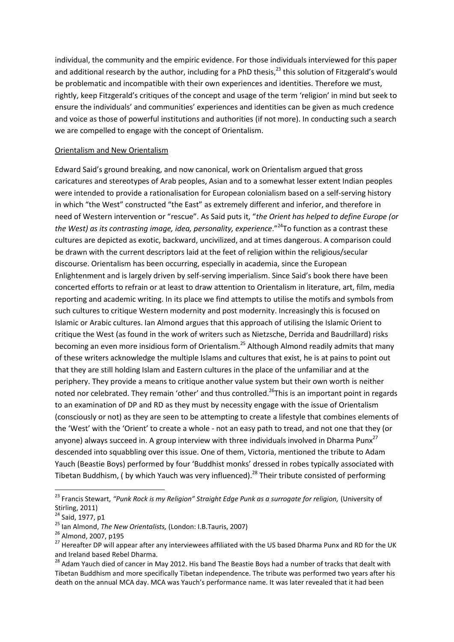individual, the community and the empiric evidence. For those individuals interviewed for this paper and additional research by the author, including for a PhD thesis,<sup>23</sup> this solution of Fitzgerald's would be problematic and incompatible with their own experiences and identities. Therefore we must, rightly, keep Fitzgerald's critiques of the concept and usage of the term 'religion' in mind but seek to ensure the individuals' and communities' experiences and identities can be given as much credence and voice as those of powerful institutions and authorities (if not more). In conducting such a search we are compelled to engage with the concept of Orientalism.

#### Orientalism and New Orientalism

Edward Said's ground breaking, and now canonical, work on Orientalism argued that gross caricatures and stereotypes of Arab peoples, Asian and to a somewhat lesser extent Indian peoples were intended to provide a rationalisation for European colonialism based on a self-serving history in which "the West" constructed "the East" as extremely different and inferior, and therefore in need of Western intervention or "rescue". As Said puts it, "*the Orient has helped to define Europe (or the West) as its contrasting image, idea, personality, experience.*"<sup>24</sup>To function as a contrast these cultures are depicted as exotic, backward, uncivilized, and at times dangerous. A comparison could be drawn with the current descriptors laid at the feet of religion within the religious/secular discourse. Orientalism has been occurring, especially in academia, since the European Enlightenment and is largely driven by self-serving imperialism. Since Said's book there have been concerted efforts to refrain or at least to draw attention to Orientalism in literature, art, film, media reporting and academic writing. In its place we find attempts to utilise the motifs and symbols from such cultures to critique Western modernity and post modernity. Increasingly this is focused on Islamic or Arabic cultures. Ian Almond argues that this approach of utilising the Islamic Orient to critique the West (as found in the work of writers such as Nietzsche, Derrida and Baudrillard) risks becoming an even more insidious form of Orientalism.<sup>25</sup> Although Almond readily admits that many of these writers acknowledge the multiple Islams and cultures that exist, he is at pains to point out that they are still holding Islam and Eastern cultures in the place of the unfamiliar and at the periphery. They provide a means to critique another value system but their own worth is neither noted nor celebrated. They remain 'other' and thus controlled.<sup>26</sup>This is an important point in regards to an examination of DP and RD as they must by necessity engage with the issue of Orientalism (consciously or not) as they are seen to be attempting to create a lifestyle that combines elements of the 'West' with the 'Orient' to create a whole - not an easy path to tread, and not one that they (or anyone) always succeed in. A group interview with three individuals involved in Dharma Punx<sup>27</sup> descended into squabbling over this issue. One of them, Victoria, mentioned the tribute to Adam Yauch (Beastie Boys) performed by four 'Buddhist monks' dressed in robes typically associated with Tibetan Buddhism, (by which Yauch was very influenced).<sup>28</sup> Their tribute consisted of performing

<sup>&</sup>lt;sup>23</sup> Francis Stewart, *"Punk Rock is my Religion" Straight Edge Punk as a surrogate for religion, (University of* Stirling, 2011)

<sup>&</sup>lt;sup>24</sup> Said, 1977, p1

<sup>25</sup> Ian Almond, *The New Orientalists,* (London: I.B.Tauris, 2007)

<sup>&</sup>lt;sup>26</sup> Almond, 2007, p195

<sup>&</sup>lt;sup>27</sup> Hereafter DP will appear after any interviewees affiliated with the US based Dharma Punx and RD for the UK and Ireland based Rebel Dharma.

<sup>&</sup>lt;sup>28</sup> Adam Yauch died of cancer in May 2012. His band The Beastie Boys had a number of tracks that dealt with Tibetan Buddhism and more specifically Tibetan independence. The tribute was performed two years after his death on the annual MCA day. MCA was Yauch's performance name. It was later revealed that it had been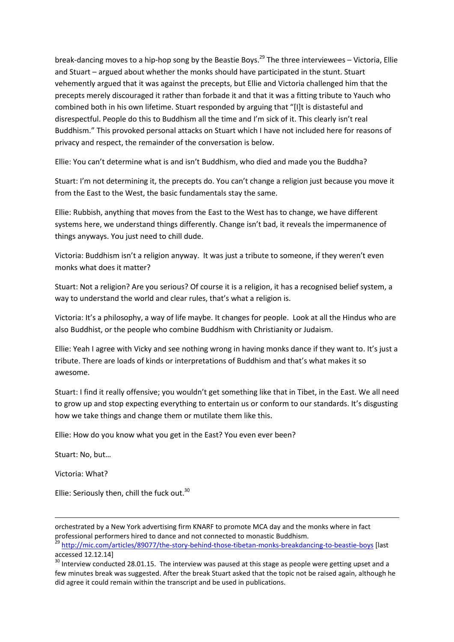break-dancing moves to a hip-hop song by the Beastie Boys. <sup>29</sup> The three interviewees – Victoria, Ellie and Stuart – argued about whether the monks should have participated in the stunt. Stuart vehemently argued that it was against the precepts, but Ellie and Victoria challenged him that the precepts merely discouraged it rather than forbade it and that it was a fitting tribute to Yauch who combined both in his own lifetime. Stuart responded by arguing that "[I]t is distasteful and disrespectful. People do this to Buddhism all the time and I'm sick of it. This clearly isn't real Buddhism." This provoked personal attacks on Stuart which I have not included here for reasons of privacy and respect, the remainder of the conversation is below.

Ellie: You can't determine what is and isn't Buddhism, who died and made you the Buddha?

Stuart: I'm not determining it, the precepts do. You can't change a religion just because you move it from the East to the West, the basic fundamentals stay the same.

Ellie: Rubbish, anything that moves from the East to the West has to change, we have different systems here, we understand things differently. Change isn't bad, it reveals the impermanence of things anyways. You just need to chill dude.

Victoria: Buddhism isn't a religion anyway. It was just a tribute to someone, if they weren't even monks what does it matter?

Stuart: Not a religion? Are you serious? Of course it is a religion, it has a recognised belief system, a way to understand the world and clear rules, that's what a religion is.

Victoria: It's a philosophy, a way of life maybe. It changes for people. Look at all the Hindus who are also Buddhist, or the people who combine Buddhism with Christianity or Judaism.

Ellie: Yeah I agree with Vicky and see nothing wrong in having monks dance if they want to. It's just a tribute. There are loads of kinds or interpretations of Buddhism and that's what makes it so awesome.

Stuart: I find it really offensive; you wouldn't get something like that in Tibet, in the East. We all need to grow up and stop expecting everything to entertain us or conform to our standards. It's disgusting how we take things and change them or mutilate them like this.

Ellie: How do you know what you get in the East? You even ever been?

Stuart: No, but…

Victoria: What?

 $\overline{a}$ 

Ellie: Seriously then, chill the fuck out.<sup>30</sup>

orchestrated by a New York advertising firm KNARF to promote MCA day and the monks where in fact professional performers hired to dance and not connected to monastic Buddhism.

<sup>&</sup>lt;sup>29</sup> <http://mic.com/articles/89077/the-story-behind-those-tibetan-monks-breakdancing-to-beastie-boys> [last accessed 12.12.14]

 $30$  Interview conducted 28.01.15. The interview was paused at this stage as people were getting upset and a few minutes break was suggested. After the break Stuart asked that the topic not be raised again, although he did agree it could remain within the transcript and be used in publications.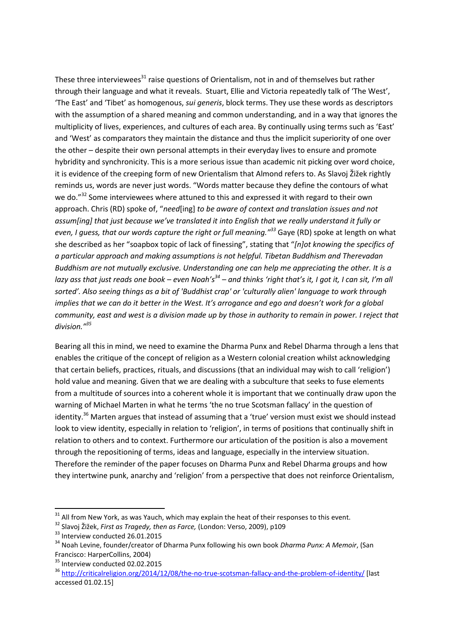These three interviewees $^{31}$  raise questions of Orientalism, not in and of themselves but rather through their language and what it reveals. Stuart, Ellie and Victoria repeatedly talk of 'The West', 'The East' and 'Tibet' as homogenous, *sui generis*, block terms. They use these words as descriptors with the assumption of a shared meaning and common understanding, and in a way that ignores the multiplicity of lives, experiences, and cultures of each area. By continually using terms such as 'East' and 'West' as comparators they maintain the distance and thus the implicit superiority of one over the other – despite their own personal attempts in their everyday lives to ensure and promote hybridity and synchronicity. This is a more serious issue than academic nit picking over word choice, it is evidence of the creeping form of new Orientalism that Almond refers to. As Slavoj Žižek rightly reminds us, words are never just words. "Words matter because they define the contours of what we do."<sup>32</sup> Some interviewees where attuned to this and expressed it with regard to their own approach. Chris (RD) spoke of, "*need*[ing] *to be aware of context and translation issues and not assum[ing] that just because we've translated it into English that we really understand it fully or even, I guess, that our words capture the right or full meaning."<sup>33</sup>* Gaye (RD) spoke at length on what she described as her "soapbox topic of lack of finessing", stating that "*[n]ot knowing the specifics of a particular approach and making assumptions is not helpful. Tibetan Buddhism and Therevadan Buddhism are not mutually exclusive. Understanding one can help me appreciating the other. It is a lazy ass that just reads one book – even Noah's<sup>34</sup> – and thinks 'right that's it, I got it, I can sit, I'm all sorted'. Also seeing things as a bit of 'Buddhist crap' or 'culturally alien' language to work through implies that we can do it better in the West. It's arrogance and ego and doesn't work for a global community, east and west is a division made up by those in authority to remain in power. I reject that division."<sup>35</sup>*

Bearing all this in mind, we need to examine the Dharma Punx and Rebel Dharma through a lens that enables the critique of the concept of religion as a Western colonial creation whilst acknowledging that certain beliefs, practices, rituals, and discussions (that an individual may wish to call 'religion') hold value and meaning. Given that we are dealing with a subculture that seeks to fuse elements from a multitude of sources into a coherent whole it is important that we continually draw upon the warning of Michael Marten in what he terms 'the no true Scotsman fallacy' in the question of identity.<sup>36</sup> Marten argues that instead of assuming that a 'true' version must exist we should instead look to view identity, especially in relation to 'religion', in terms of positions that continually shift in relation to others and to context. Furthermore our articulation of the position is also a movement through the repositioning of terms, ideas and language, especially in the interview situation. Therefore the reminder of the paper focuses on Dharma Punx and Rebel Dharma groups and how they intertwine punk, anarchy and 'religion' from a perspective that does not reinforce Orientalism,

 $31$  All from New York, as was Yauch, which may explain the heat of their responses to this event.

<sup>32</sup> Slavoj Žižek, *First as Tragedy, then as Farce,* (London: Verso, 2009), p109

<sup>&</sup>lt;sup>33</sup> Interview conducted 26.01.2015

<sup>34</sup> Noah Levine, founder/creator of Dharma Punx following his own book *Dharma Punx: A Memoir*, (San Francisco: HarperCollins, 2004)

<sup>&</sup>lt;sup>35</sup> Interview conducted 02.02.2015

<sup>36</sup> <http://criticalreligion.org/2014/12/08/the-no-true-scotsman-fallacy-and-the-problem-of-identity/> [last accessed 01.02.15]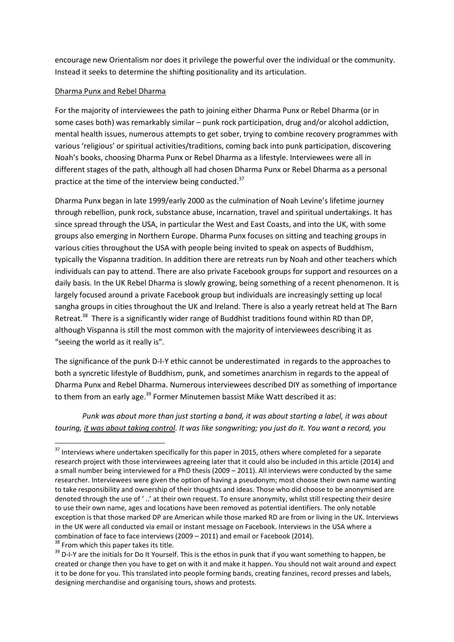encourage new Orientalism nor does it privilege the powerful over the individual or the community. Instead it seeks to determine the shifting positionality and its articulation.

#### Dharma Punx and Rebel Dharma

**.** 

For the majority of interviewees the path to joining either Dharma Punx or Rebel Dharma (or in some cases both) was remarkably similar – punk rock participation, drug and/or alcohol addiction, mental health issues, numerous attempts to get sober, trying to combine recovery programmes with various 'religious' or spiritual activities/traditions, coming back into punk participation, discovering Noah's books, choosing Dharma Punx or Rebel Dharma as a lifestyle. Interviewees were all in different stages of the path, although all had chosen Dharma Punx or Rebel Dharma as a personal practice at the time of the interview being conducted.<sup>37</sup>

Dharma Punx began in late 1999/early 2000 as the culmination of Noah Levine's lifetime journey through rebellion, punk rock, substance abuse, incarnation, travel and spiritual undertakings. It has since spread through the USA, in particular the West and East Coasts, and into the UK, with some groups also emerging in Northern Europe. Dharma Punx focuses on sitting and teaching groups in various cities throughout the USA with people being invited to speak on aspects of Buddhism, typically the Vispanna tradition. In addition there are retreats run by Noah and other teachers which individuals can pay to attend. There are also private Facebook groups for support and resources on a daily basis. In the UK Rebel Dharma is slowly growing, being something of a recent phenomenon. It is largely focused around a private Facebook group but individuals are increasingly setting up local sangha groups in cities throughout the UK and Ireland. There is also a yearly retreat held at The Barn Retreat.<sup>38</sup> There is a significantly wider range of Buddhist traditions found within RD than DP, although Vispanna is still the most common with the majority of interviewees describing it as "seeing the world as it really is".

The significance of the punk D-I-Y ethic cannot be underestimated in regards to the approaches to both a syncretic lifestyle of Buddhism, punk, and sometimes anarchism in regards to the appeal of Dharma Punx and Rebel Dharma. Numerous interviewees described DIY as something of importance to them from an early age.<sup>39</sup> Former Minutemen bassist Mike Watt described it as:

*Punk was about more than just starting a band, it was about starting a label, it was about touring, it was about taking control. It was like songwriting; you just do it. You want a record, you* 

<sup>&</sup>lt;sup>37</sup> Interviews where undertaken specifically for this paper in 2015, others where completed for a separate research project with those interviewees agreeing later that it could also be included in this article (2014) and a small number being interviewed for a PhD thesis (2009 – 2011). All interviews were conducted by the same researcher. Interviewees were given the option of having a pseudonym; most choose their own name wanting to take responsibility and ownership of their thoughts and ideas. Those who did choose to be anonymised are denoted through the use of ' ..' at their own request. To ensure anonymity, whilst still respecting their desire to use their own name, ages and locations have been removed as potential identifiers. The only notable exception is that those marked DP are American while those marked RD are from or living in the UK. Interviews in the UK were all conducted via email or instant message on Facebook. Interviews in the USA where a combination of face to face interviews (2009 – 2011) and email or Facebook (2014).  $38$  From which this paper takes its title.

<sup>&</sup>lt;sup>39</sup> D-I-Y are the initials for Do It Yourself. This is the ethos in punk that if you want something to happen, be created or change then you have to get on with it and make it happen. You should not wait around and expect it to be done for you. This translated into people forming bands, creating fanzines, record presses and labels, designing merchandise and organising tours, shows and protests.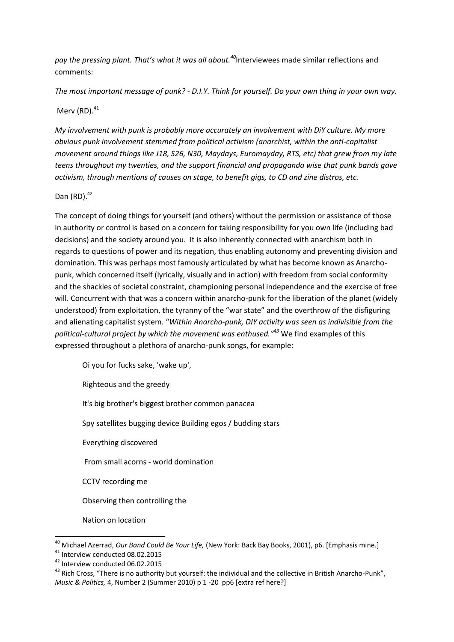*pay the pressing plant. That's what it was all about.<sup>40</sup>*Interviewees made similar reflections and comments:

*The most important message of punk? - D.I.Y. Think for yourself. Do your own thing in your own way.* Merv (RD).<sup>41</sup>

*My involvement with punk is probably more accurately an involvement with DiY culture. My more obvious punk involvement stemmed from political activism (anarchist, within the anti-capitalist movement around things like J18, S26, N30, Maydays, Euromayday, RTS, etc) that grew from my late teens throughout my twenties, and the support financial and propaganda wise that punk bands gave activism, through mentions of causes on stage, to benefit gigs, to CD and zine distros, etc.* 

# Dan (RD). 42

The concept of doing things for yourself (and others) without the permission or assistance of those in authority or control is based on a concern for taking responsibility for you own life (including bad decisions) and the society around you. It is also inherently connected with anarchism both in regards to questions of power and its negation, thus enabling autonomy and preventing division and domination. This was perhaps most famously articulated by what has become known as Anarchopunk, which concerned itself (lyrically, visually and in action) with freedom from social conformity and the shackles of societal constraint, championing personal independence and the exercise of free will. Concurrent with that was a concern within anarcho-punk for the liberation of the planet (widely understood) from exploitation, the tyranny of the "war state" and the overthrow of the disfiguring and alienating capitalist system. "*Within Anarcho-punk, DIY activity was seen as indivisible from the political-cultural project by which the movement was enthused."<sup>43</sup>* We find examples of this expressed throughout a plethora of anarcho-punk songs, for example:

Oi you for fucks sake, 'wake up',

Righteous and the greedy

It's big brother's biggest brother common panacea

Spy satellites bugging device Building egos / budding stars

Everything discovered

From small acorns - world domination

CCTV recording me

Observing then controlling the

Nation on location

 $\overline{a}$ 

<sup>40</sup> Michael Azerrad, *Our Band Could Be Your Life,* (New York: Back Bay Books, 2001), p6. [Emphasis mine.]

<sup>41</sup> Interview conducted 08.02.2015

<sup>42</sup> Interview conducted 06.02.2015

<sup>&</sup>lt;sup>43</sup> Rich Cross, "There is no authority but yourself: the individual and the collective in British Anarcho-Punk", *Music & Politics,* 4, Number 2 (Summer 2010) p 1 -20 pp6 [extra ref here?]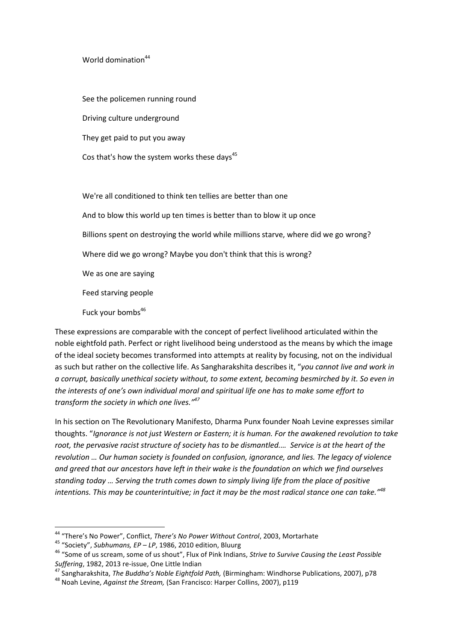#### World domination<sup>44</sup>

See the policemen running round Driving culture underground They get paid to put you away Cos that's how the system works these days<sup>45</sup>

We're all conditioned to think ten tellies are better than one And to blow this world up ten times is better than to blow it up once Billions spent on destroying the world while millions starve, where did we go wrong? Where did we go wrong? Maybe you don't think that this is wrong? We as one are saying Feed starving people Fuck your bombs<sup>46</sup>

These expressions are comparable with the concept of perfect livelihood articulated within the noble eightfold path. Perfect or right livelihood being understood as the means by which the image of the ideal society becomes transformed into attempts at reality by focusing, not on the individual as such but rather on the collective life. As Sangharakshita describes it, "*you cannot live and work in a corrupt, basically unethical society without, to some extent, becoming besmirched by it. So even in the interests of one's own individual moral and spiritual life one has to make some effort to transform the society in which one lives."<sup>47</sup>*

In his section on The Revolutionary Manifesto, Dharma Punx founder Noah Levine expresses similar thoughts. "*Ignorance is not just Western or Eastern; it is human. For the awakened revolution to take root, the pervasive racist structure of society has to be dismantled.… Service is at the heart of the revolution … Our human society is founded on confusion, ignorance, and lies. The legacy of violence and greed that our ancestors have left in their wake is the foundation on which we find ourselves standing today … Serving the truth comes down to simply living life from the place of positive intentions. This may be counterintuitive; in fact it may be the most radical stance one can take."<sup>48</sup>*

<sup>44</sup> "There's No Power", Conflict, *There's No Power Without Control*, 2003, Mortarhate

<sup>45</sup> "Society", *Subhumans, EP – LP*, 1986, 2010 edition, Bluurg

<sup>46</sup> "Some of us scream, some of us shout", Flux of Pink Indians, *Strive to Survive Causing the Least Possible Suffering*, 1982, 2013 re-issue, One Little Indian

<sup>47</sup> Sangharakshita, *The Buddha's Noble Eightfold Path,* (Birmingham: Windhorse Publications, 2007), p78

<sup>48</sup> Noah Levine, *Against the Stream,* (San Francisco: Harper Collins, 2007), p119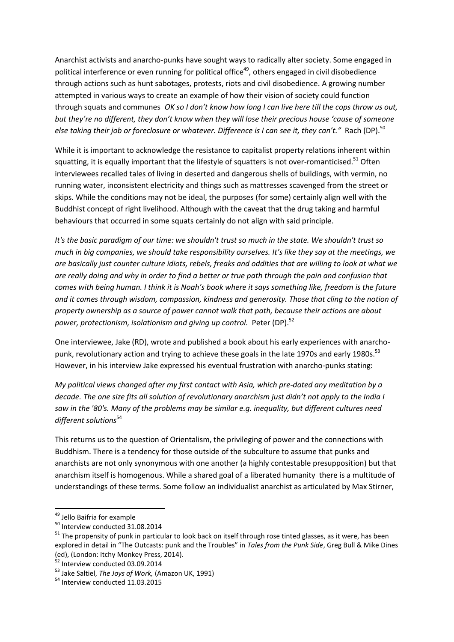Anarchist activists and anarcho-punks have sought ways to radically alter society. Some engaged in political interference or even running for political office<sup>49</sup>, others engaged in civil disobedience through actions such as hunt sabotages, protests, riots and civil disobedience. A growing number attempted in various ways to create an example of how their vision of society could function through squats and communes *OK so I don't know how long I can live here till the cops throw us out, but they're no different, they don't know when they will lose their precious house 'cause of someone else taking their job or foreclosure or whatever. Difference is I can see it, they can't."* Rach (DP). 50

While it is important to acknowledge the resistance to capitalist property relations inherent within squatting, it is equally important that the lifestyle of squatters is not over-romanticised.<sup>51</sup> Often interviewees recalled tales of living in deserted and dangerous shells of buildings, with vermin, no running water, inconsistent electricity and things such as mattresses scavenged from the street or skips. While the conditions may not be ideal, the purposes (for some) certainly align well with the Buddhist concept of right livelihood. Although with the caveat that the drug taking and harmful behaviours that occurred in some squats certainly do not align with said principle.

*It's the basic paradigm of our time: we shouldn't trust so much in the state. We shouldn't trust so much in big companies, we should take responsibility ourselves. It's like they say at the meetings, we are basically just counter culture idiots, rebels, freaks and oddities that are willing to look at what we are really doing and why in order to find a better or true path through the pain and confusion that comes with being human. I think it is Noah's book where it says something like, freedom is the future and it comes through wisdom, compassion, kindness and generosity. Those that cling to the notion of property ownership as a source of power cannot walk that path, because their actions are about power, protectionism, isolationism and giving up control.* Peter (DP). 52

One interviewee, Jake (RD), wrote and published a book about his early experiences with anarchopunk, revolutionary action and trying to achieve these goals in the late 1970s and early 1980s.<sup>53</sup> However, in his interview Jake expressed his eventual frustration with anarcho-punks stating:

*My political views changed after my first contact with Asia, which pre-dated any meditation by a decade. The one size fits all solution of revolutionary anarchism just didn't not apply to the India I saw in the '80's. Many of the problems may be similar e.g. inequality, but different cultures need different solutions*<sup>54</sup>

This returns us to the question of Orientalism, the privileging of power and the connections with Buddhism. There is a tendency for those outside of the subculture to assume that punks and anarchists are not only synonymous with one another (a highly contestable presupposition) but that anarchism itself is homogenous. While a shared goal of a liberated humanity there is a multitude of understandings of these terms. Some follow an individualist anarchist as articulated by Max Stirner,

<sup>49</sup> Jello Baifria for example

<sup>50</sup> Interview conducted 31.08.2014

 $51$  The propensity of punk in particular to look back on itself through rose tinted glasses, as it were, has been explored in detail in "The Outcasts: punk and the Troubles" in *Tales from the Punk Side*, Greg Bull & Mike Dines (ed), (London: Itchy Monkey Press, 2014).

 $2$  Interview conducted 03.09.2014

<sup>53</sup> Jake Saltiel, *The Joys of Work,* (Amazon UK, 1991)

<sup>&</sup>lt;sup>54</sup> Interview conducted 11.03.2015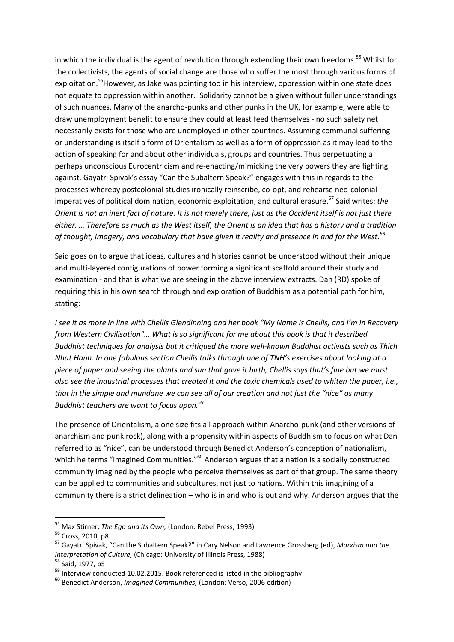in which the individual is the agent of revolution through extending their own freedoms.<sup>55</sup> Whilst for the collectivists, the agents of social change are those who suffer the most through various forms of exploitation.<sup>56</sup>However, as Jake was pointing too in his interview, oppression within one state does not equate to oppression within another. Solidarity cannot be a given without fuller understandings of such nuances. Many of the anarcho-punks and other punks in the UK, for example, were able to draw unemployment benefit to ensure they could at least feed themselves - no such safety net necessarily exists for those who are unemployed in other countries. Assuming communal suffering or understanding is itself a form of Orientalism as well as a form of oppression as it may lead to the action of speaking for and about other individuals, groups and countries. Thus perpetuating a perhaps unconscious Eurocentricism and re-enacting/mimicking the very powers they are fighting against. Gayatri Spivak's essay "Can the Subaltern Speak?" engages with this in regards to the processes whereby postcolonial studies ironically reinscribe, co-opt, and rehearse neo-colonial imperatives of political domination, economic exploitation, and cultural erasure.<sup>57</sup> Said writes: *the Orient is not an inert fact of nature. It is not merely there, just as the Occident itself is not just there either. … Therefore as much as the West itself, the Orient is an idea that has a history and a tradition of thought, imagery, and vocabulary that have given it reality and presence in and for the West.<sup>58</sup>*

Said goes on to argue that ideas, cultures and histories cannot be understood without their unique and multi-layered configurations of power forming a significant scaffold around their study and examination - and that is what we are seeing in the above interview extracts. Dan (RD) spoke of requiring this in his own search through and exploration of Buddhism as a potential path for him, stating:

*I see it as more in line with Chellis Glendinning and her book "My Name Is Chellis, and I'm in Recovery from Western Civilisation"… What is so significant for me about this book is that it described Buddhist techniques for analysis but it critiqued the more well-known Buddhist activists such as Thich Nhat Hanh. In one fabulous section Chellis talks through one of TNH's exercises about looking at a piece of paper and seeing the plants and sun that gave it birth, Chellis says that's fine but we must also see the industrial processes that created it and the toxic chemicals used to whiten the paper, i.e., that in the simple and mundane we can see all of our creation and not just the "nice" as many Buddhist teachers are wont to focus upon.<sup>59</sup>*

The presence of Orientalism, a one size fits all approach within Anarcho-punk (and other versions of anarchism and punk rock), along with a propensity within aspects of Buddhism to focus on what Dan referred to as "nice", can be understood through Benedict Anderson's conception of nationalism, which he terms "Imagined Communities."<sup>60</sup> Anderson argues that a nation is a socially constructed community imagined by the people who perceive themselves as part of that group. The same theory can be applied to communities and subcultures, not just to nations. Within this imagining of a community there is a strict delineation – who is in and who is out and why. Anderson argues that the

 $\overline{a}$ 

<sup>55</sup> Max Stirner, *The Ego and its Own,* (London: Rebel Press, 1993)

<sup>56</sup> Cross, 2010, p8

<sup>57</sup> Gayatri Spivak, "Can the Subaltern Speak?" in Cary Nelson and Lawrence Grossberg (ed), *Marxism and the Interpretation of Culture,* (Chicago: University of Illinois Press, 1988)

<sup>&</sup>lt;sup>58</sup> Said, 1977, p5

<sup>59</sup> Interview conducted 10.02.2015. Book referenced is listed in the bibliography

<sup>60</sup> Benedict Anderson, *Imagined Communities,* (London: Verso, 2006 edition)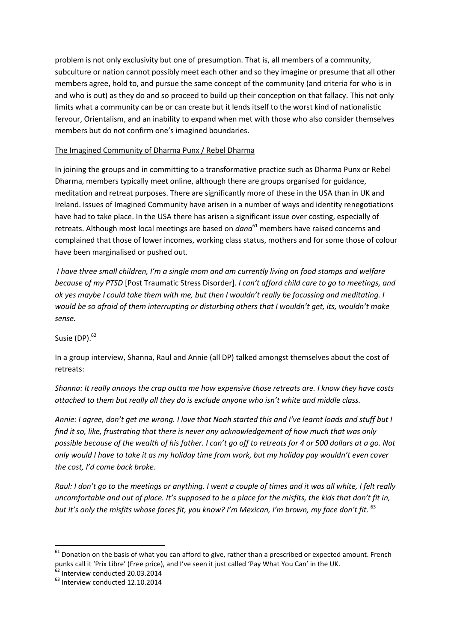problem is not only exclusivity but one of presumption. That is, all members of a community, subculture or nation cannot possibly meet each other and so they imagine or presume that all other members agree, hold to, and pursue the same concept of the community (and criteria for who is in and who is out) as they do and so proceed to build up their conception on that fallacy. This not only limits what a community can be or can create but it lends itself to the worst kind of nationalistic fervour, Orientalism, and an inability to expand when met with those who also consider themselves members but do not confirm one's imagined boundaries.

### The Imagined Community of Dharma Punx / Rebel Dharma

In joining the groups and in committing to a transformative practice such as Dharma Punx or Rebel Dharma, members typically meet online, although there are groups organised for guidance, meditation and retreat purposes. There are significantly more of these in the USA than in UK and Ireland. Issues of Imagined Community have arisen in a number of ways and identity renegotiations have had to take place. In the USA there has arisen a significant issue over costing, especially of retreats. Although most local meetings are based on *dana*<sup>61</sup> members have raised concerns and complained that those of lower incomes, working class status, mothers and for some those of colour have been marginalised or pushed out.

*I have three small children, I'm a single mom and am currently living on food stamps and welfare because of my PTSD* [Post Traumatic Stress Disorder]*. I can't afford child care to go to meetings, and ok yes maybe I could take them with me, but then I wouldn't really be focussing and meditating. I would be so afraid of them interrupting or disturbing others that I wouldn't get, its, wouldn't make sense.* 

Susie (DP).<sup>62</sup>

In a group interview, Shanna, Raul and Annie (all DP) talked amongst themselves about the cost of retreats:

*Shanna: It really annoys the crap outta me how expensive those retreats are. I know they have costs attached to them but really all they do is exclude anyone who isn't white and middle class.* 

*Annie: I agree, don't get me wrong. I love that Noah started this and I've learnt loads and stuff but I find it so, like, frustrating that there is never any acknowledgement of how much that was only possible because of the wealth of his father. I can't go off to retreats for 4 or 500 dollars at a go. Not only would I have to take it as my holiday time from work, but my holiday pay wouldn't even cover the cost, I'd come back broke.* 

*Raul: I don't go to the meetings or anything. I went a couple of times and it was all white, I felt really uncomfortable and out of place. It's supposed to be a place for the misfits, the kids that don't fit in, but it's only the misfits whose faces fit, you know? I'm Mexican, I'm brown, my face don't fit.* <sup>63</sup>

 $61$  Donation on the basis of what you can afford to give, rather than a prescribed or expected amount. French punks call it 'Prix Libre' (Free price), and I've seen it just called 'Pay What You Can' in the UK.

<sup>&</sup>lt;sup>62</sup> Interview conducted 20.03.2014

<sup>&</sup>lt;sup>63</sup> Interview conducted 12.10.2014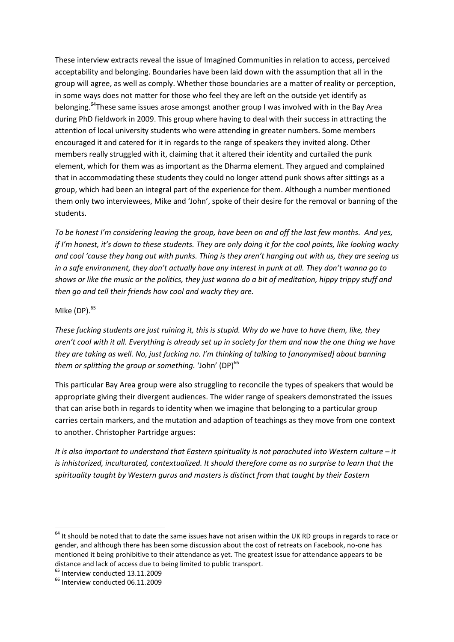These interview extracts reveal the issue of Imagined Communities in relation to access, perceived acceptability and belonging. Boundaries have been laid down with the assumption that all in the group will agree, as well as comply. Whether those boundaries are a matter of reality or perception, in some ways does not matter for those who feel they are left on the outside yet identify as belonging.<sup>64</sup>These same issues arose amongst another group I was involved with in the Bay Area during PhD fieldwork in 2009. This group where having to deal with their success in attracting the attention of local university students who were attending in greater numbers. Some members encouraged it and catered for it in regards to the range of speakers they invited along. Other members really struggled with it, claiming that it altered their identity and curtailed the punk element, which for them was as important as the Dharma element. They argued and complained that in accommodating these students they could no longer attend punk shows after sittings as a group, which had been an integral part of the experience for them. Although a number mentioned them only two interviewees, Mike and 'John', spoke of their desire for the removal or banning of the students.

*To be honest I'm considering leaving the group, have been on and off the last few months. And yes, if I'm honest, it's down to these students. They are only doing it for the cool points, like looking wacky and cool 'cause they hang out with punks. Thing is they aren't hanging out with us, they are seeing us in a safe environment, they don't actually have any interest in punk at all. They don't wanna go to shows or like the music or the politics, they just wanna do a bit of meditation, hippy trippy stuff and then go and tell their friends how cool and wacky they are.* 

Mike (DP). 65

*These fucking students are just ruining it, this is stupid. Why do we have to have them, like, they aren't cool with it all. Everything is already set up in society for them and now the one thing we have they are taking as well. No, just fucking no. I'm thinking of talking to [anonymised] about banning them or splitting the group or something. 'John'* (DP)<sup>66</sup>

This particular Bay Area group were also struggling to reconcile the types of speakers that would be appropriate giving their divergent audiences. The wider range of speakers demonstrated the issues that can arise both in regards to identity when we imagine that belonging to a particular group carries certain markers, and the mutation and adaption of teachings as they move from one context to another. Christopher Partridge argues:

*It is also important to understand that Eastern spirituality is not parachuted into Western culture – it is inhistorized, inculturated, contextualized. It should therefore come as no surprise to learn that the spirituality taught by Western gurus and masters is distinct from that taught by their Eastern* 

 $^{64}$  It should be noted that to date the same issues have not arisen within the UK RD groups in regards to race or gender, and although there has been some discussion about the cost of retreats on Facebook, no-one has mentioned it being prohibitive to their attendance as yet. The greatest issue for attendance appears to be distance and lack of access due to being limited to public transport.

<sup>&</sup>lt;sup>65</sup> Interview conducted 13.11.2009

<sup>&</sup>lt;sup>66</sup> Interview conducted 06.11.2009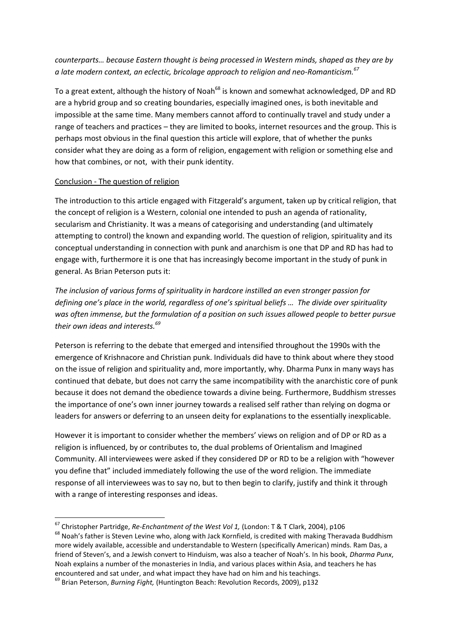*counterparts… because Eastern thought is being processed in Western minds, shaped as they are by a late modern context, an eclectic, bricolage approach to religion and neo-Romanticism.<sup>67</sup>*

To a great extent, although the history of Noah<sup>68</sup> is known and somewhat acknowledged. DP and RD are a hybrid group and so creating boundaries, especially imagined ones, is both inevitable and impossible at the same time. Many members cannot afford to continually travel and study under a range of teachers and practices – they are limited to books, internet resources and the group. This is perhaps most obvious in the final question this article will explore, that of whether the punks consider what they are doing as a form of religion, engagement with religion or something else and how that combines, or not, with their punk identity.

#### Conclusion - The question of religion

 $\overline{a}$ 

The introduction to this article engaged with Fitzgerald's argument, taken up by critical religion, that the concept of religion is a Western, colonial one intended to push an agenda of rationality, secularism and Christianity. It was a means of categorising and understanding (and ultimately attempting to control) the known and expanding world. The question of religion, spirituality and its conceptual understanding in connection with punk and anarchism is one that DP and RD has had to engage with, furthermore it is one that has increasingly become important in the study of punk in general. As Brian Peterson puts it:

*The inclusion of various forms of spirituality in hardcore instilled an even stronger passion for defining one's place in the world, regardless of one's spiritual beliefs … The divide over spirituality was often immense, but the formulation of a position on such issues allowed people to better pursue their own ideas and interests.<sup>69</sup>*

Peterson is referring to the debate that emerged and intensified throughout the 1990s with the emergence of Krishnacore and Christian punk. Individuals did have to think about where they stood on the issue of religion and spirituality and, more importantly, why. Dharma Punx in many ways has continued that debate, but does not carry the same incompatibility with the anarchistic core of punk because it does not demand the obedience towards a divine being. Furthermore, Buddhism stresses the importance of one's own inner journey towards a realised self rather than relying on dogma or leaders for answers or deferring to an unseen deity for explanations to the essentially inexplicable.

However it is important to consider whether the members' views on religion and of DP or RD as a religion is influenced, by or contributes to, the dual problems of Orientalism and Imagined Community. All interviewees were asked if they considered DP or RD to be a religion with "however you define that" included immediately following the use of the word religion. The immediate response of all interviewees was to say no, but to then begin to clarify, justify and think it through with a range of interesting responses and ideas.

<sup>67</sup> Christopher Partridge, *Re-Enchantment of the West Vol 1,* (London: T & T Clark, 2004), p106

<sup>&</sup>lt;sup>68</sup> Noah's father is Steven Levine who, along with Jack Kornfield, is credited with making Theravada Buddhism more widely available, accessible and understandable to Western (specifically American) minds. Ram Das, a friend of Steven's, and a Jewish convert to Hinduism, was also a teacher of Noah's. In his book, *Dharma Punx*, Noah explains a number of the monasteries in India, and various places within Asia, and teachers he has encountered and sat under, and what impact they have had on him and his teachings.

<sup>69</sup> Brian Peterson, *Burning Fight,* (Huntington Beach: Revolution Records, 2009), p132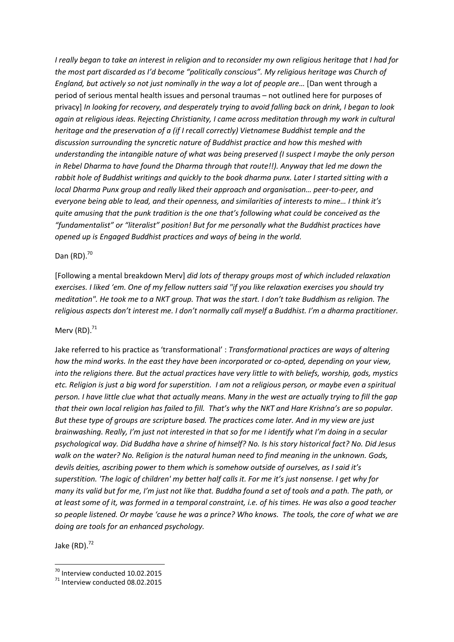*I really began to take an interest in religion and to reconsider my own religious heritage that I had for the most part discarded as I'd become "politically conscious". My religious heritage was Church of England, but actively so not just nominally in the way a lot of people are…* [Dan went through a period of serious mental health issues and personal traumas – not outlined here for purposes of privacy] *In looking for recovery, and desperately trying to avoid falling back on drink, I began to look again at religious ideas. Rejecting Christianity, I came across meditation through my work in cultural heritage and the preservation of a (if I recall correctly) Vietnamese Buddhist temple and the discussion surrounding the syncretic nature of Buddhist practice and how this meshed with understanding the intangible nature of what was being preserved (I suspect I maybe the only person in Rebel Dharma to have found the Dharma through that route!!). Anyway that led me down the rabbit hole of Buddhist writings and quickly to the book dharma punx. Later I started sitting with a local Dharma Punx group and really liked their approach and organisation… peer-to-peer, and everyone being able to lead, and their openness, and similarities of interests to mine… I think it's quite amusing that the punk tradition is the one that's following what could be conceived as the "fundamentalist" or "literalist" position! But for me personally what the Buddhist practices have opened up is Engaged Buddhist practices and ways of being in the world.* 

### Dan (RD).<sup>70</sup>

[Following a mental breakdown Merv] *did lots of therapy groups most of which included relaxation exercises. I liked 'em. One of my fellow nutters said "if you like relaxation exercises you should try meditation". He took me to a NKT group. That was the start. I don't take Buddhism as religion. The religious aspects don't interest me. I don't normally call myself a Buddhist. I'm a dharma practitioner.*

### Merv (RD).<sup>71</sup>

Jake referred to his practice as 'transformational' : *Transformational practices are ways of altering how the mind works. In the east they have been incorporated or co-opted, depending on your view, into the religions there. But the actual practices have very little to with beliefs, worship, gods, mystics etc. Religion is just a big word for superstition. I am not a religious person, or maybe even a spiritual person. I have little clue what that actually means. Many in the west are actually trying to fill the gap that their own local religion has failed to fill. That's why the NKT and Hare Krishna's are so popular. But these type of groups are scripture based. The practices come later. And in my view are just brainwashing. Really, I'm just not interested in that so for me I identify what I'm doing in a secular psychological way. Did Buddha have a shrine of himself? No. Is his story historical fact? No. Did Jesus walk on the water? No. Religion is the natural human need to find meaning in the unknown. Gods, devils deities, ascribing power to them which is somehow outside of ourselves, as I said it's superstition. 'The logic of children' my better half calls it. For me it's just nonsense. I get why for many its valid but for me, I'm just not like that. Buddha found a set of tools and a path. The path, or at least some of it, was formed in a temporal constraint, i.e. of his times. He was also a good teacher so people listened. Or maybe 'cause he was a prince? Who knows. The tools, the core of what we are doing are tools for an enhanced psychology.*

Jake (RD).<sup>72</sup>

<sup>&</sup>lt;sup>70</sup> Interview conducted 10.02.2015

<sup>&</sup>lt;sup>71</sup> Interview conducted 08.02.2015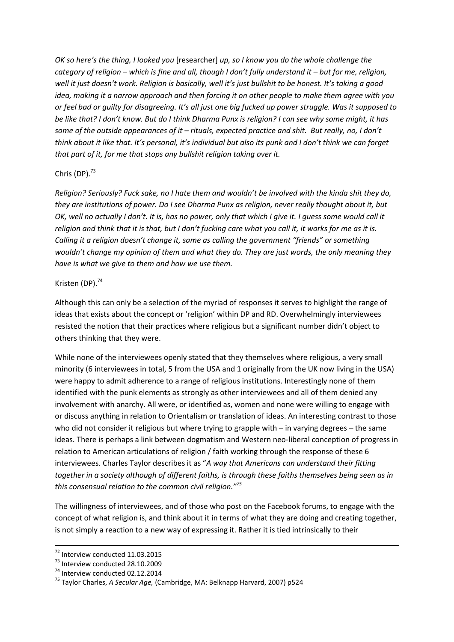*OK so here's the thing, I looked you* [researcher] *up, so I know you do the whole challenge the category of religion – which is fine and all, though I don't fully understand it – but for me, religion, well it just doesn't work. Religion is basically, well it's just bullshit to be honest. It's taking a good idea, making it a narrow approach and then forcing it on other people to make them agree with you or feel bad or guilty for disagreeing. It's all just one big fucked up power struggle. Was it supposed to be like that? I don't know. But do I think Dharma Punx is religion? I can see why some might, it has some of the outside appearances of it – rituals, expected practice and shit. But really, no, I don't think about it like that. It's personal, it's individual but also its punk and I don't think we can forget that part of it, for me that stops any bullshit religion taking over it.* 

## Chris (DP). $^{73}$

*Religion? Seriously? Fuck sake, no I hate them and wouldn't be involved with the kinda shit they do, they are institutions of power. Do I see Dharma Punx as religion, never really thought about it, but OK, well no actually I don't. It is, has no power, only that which I give it. I guess some would call it religion and think that it is that, but I don't fucking care what you call it, it works for me as it is. Calling it a religion doesn't change it, same as calling the government "friends" or something wouldn't change my opinion of them and what they do. They are just words, the only meaning they have is what we give to them and how we use them.*

## Kristen (DP). 74

Although this can only be a selection of the myriad of responses it serves to highlight the range of ideas that exists about the concept or 'religion' within DP and RD. Overwhelmingly interviewees resisted the notion that their practices where religious but a significant number didn't object to others thinking that they were.

While none of the interviewees openly stated that they themselves where religious, a very small minority (6 interviewees in total, 5 from the USA and 1 originally from the UK now living in the USA) were happy to admit adherence to a range of religious institutions. Interestingly none of them identified with the punk elements as strongly as other interviewees and all of them denied any involvement with anarchy. All were, or identified as, women and none were willing to engage with or discuss anything in relation to Orientalism or translation of ideas. An interesting contrast to those who did not consider it religious but where trying to grapple with – in varying degrees – the same ideas. There is perhaps a link between dogmatism and Western neo-liberal conception of progress in relation to American articulations of religion / faith working through the response of these 6 interviewees. Charles Taylor describes it as "*A way that Americans can understand their fitting together in a society although of different faiths, is through these faiths themselves being seen as in this consensual relation to the common civil religion."<sup>75</sup>*

The willingness of interviewees, and of those who post on the Facebook forums, to engage with the concept of what religion is, and think about it in terms of what they are doing and creating together, is not simply a reaction to a new way of expressing it. Rather it is tied intrinsically to their

<sup>&</sup>lt;sup>72</sup> Interview conducted 11.03.2015

<sup>73</sup> Interview conducted 28.10.2009

<sup>74</sup> Interview conducted 02.12.2014

<sup>75</sup> Taylor Charles, *A Secular Age,* (Cambridge, MA: Belknapp Harvard, 2007) p524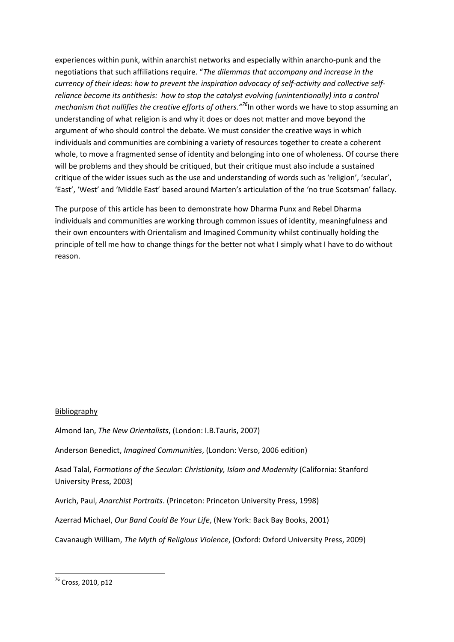experiences within punk, within anarchist networks and especially within anarcho-punk and the negotiations that such affiliations require. "*The dilemmas that accompany and increase in the currency of their ideas: how to prevent the inspiration advocacy of self-activity and collective selfreliance become its antithesis: how to stop the catalyst evolving (unintentionally) into a control mechanism that nullifies the creative efforts of others."<sup>76</sup>*In other words we have to stop assuming an understanding of what religion is and why it does or does not matter and move beyond the argument of who should control the debate. We must consider the creative ways in which individuals and communities are combining a variety of resources together to create a coherent whole, to move a fragmented sense of identity and belonging into one of wholeness. Of course there will be problems and they should be critiqued, but their critique must also include a sustained critique of the wider issues such as the use and understanding of words such as 'religion', 'secular', 'East', 'West' and 'Middle East' based around Marten's articulation of the 'no true Scotsman' fallacy.

The purpose of this article has been to demonstrate how Dharma Punx and Rebel Dharma individuals and communities are working through common issues of identity, meaningfulness and their own encounters with Orientalism and Imagined Community whilst continually holding the principle of tell me how to change things for the better not what I simply what I have to do without reason.

### **Bibliography**

Almond Ian, *The New Orientalists*, (London: I.B.Tauris, 2007)

Anderson Benedict, *Imagined Communities*, (London: Verso, 2006 edition)

Asad Talal, *Formations of the Secular: Christianity, Islam and Modernity* (California: Stanford University Press, 2003)

Avrich, Paul, *Anarchist Portraits*. (Princeton: Princeton University Press, 1998)

Azerrad Michael, *Our Band Could Be Your Life*, (New York: Back Bay Books, 2001)

Cavanaugh William, *The Myth of Religious Violence*, (Oxford: Oxford University Press, 2009)

**<sup>.</sup>**  $76$  Cross, 2010, p12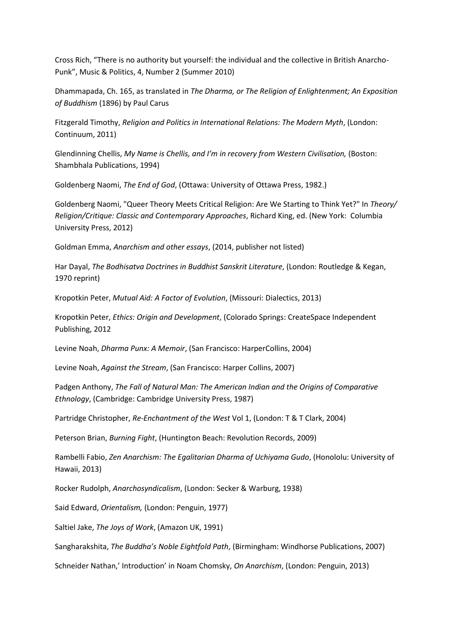Cross Rich, "There is no authority but yourself: the individual and the collective in British Anarcho-Punk", Music & Politics, 4, Number 2 (Summer 2010)

Dhammapada, Ch. 165, as translated in *The Dharma, or The Religion of Enlightenment; An Exposition of Buddhism* (1896) by Paul Carus

Fitzgerald Timothy, *Religion and Politics in International Relations: The Modern Myth*, (London: Continuum, 2011)

Glendinning Chellis, *My Name is Chellis, and I'm in recovery from Western Civilisation,* (Boston: Shambhala Publications, 1994)

Goldenberg Naomi, *The End of God*, (Ottawa: University of Ottawa Press, 1982.)

Goldenberg Naomi, "Queer Theory Meets Critical Religion: Are We Starting to Think Yet?" In *Theory/ Religion/Critique: Classic and Contemporary Approaches*, Richard King, ed. (New York: Columbia University Press, 2012)

Goldman Emma, *Anarchism and other essays*, (2014, publisher not listed)

Har Dayal, *The Bodhisatva Doctrines in Buddhist Sanskrit Literature*, (London: Routledge & Kegan, 1970 reprint)

Kropotkin Peter, *Mutual Aid: A Factor of Evolution*, (Missouri: Dialectics, 2013)

Kropotkin Peter, *Ethics: Origin and Development*, (Colorado Springs: CreateSpace Independent Publishing, 2012

Levine Noah, *Dharma Punx: A Memoir*, (San Francisco: HarperCollins, 2004)

Levine Noah, *Against the Stream*, (San Francisco: Harper Collins, 2007)

Padgen Anthony, *The Fall of Natural Man: The American Indian and the Origins of Comparative Ethnology*, (Cambridge: Cambridge University Press, 1987)

Partridge Christopher, *Re-Enchantment of the West* Vol 1, (London: T & T Clark, 2004)

Peterson Brian, *Burning Fight*, (Huntington Beach: Revolution Records, 2009)

Rambelli Fabio, *Zen Anarchism: The Egalitarian Dharma of Uchiyama Gudo*, (Honololu: University of Hawaii, 2013)

Rocker Rudolph, *Anarchosyndicalism*, (London: Secker & Warburg, 1938)

Said Edward, *Orientalism,* (London: Penguin, 1977)

Saltiel Jake, *The Joys of Work*, (Amazon UK, 1991)

Sangharakshita, *The Buddha's Noble Eightfold Path*, (Birmingham: Windhorse Publications, 2007)

Schneider Nathan,' Introduction' in Noam Chomsky, *On Anarchism*, (London: Penguin, 2013)